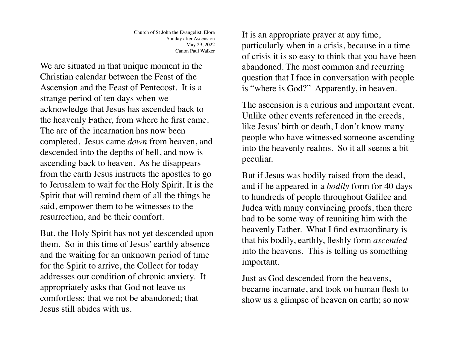We are situated in that unique moment in the Christian calendar between the Feast of the Ascension and the Feast of Pentecost. It is a strange period of ten days when we acknowledge that Jesus has ascended back to the heavenly Father, from where he first came. The arc of the incarnation has now been completed. Jesus came *down* from heaven, and descended into the depths of hell, and now is ascending back to heaven. As he disappears from the earth Jesus instructs the apostles to go to Jerusalem to wait for the Holy Spirit. It is the Spirit that will remind them of all the things he said, empower them to be witnesses to the resurrection, and be their comfort.

But, the Holy Spirit has not yet descended upon them. So in this time of Jesus' earthly absence and the waiting for an unknown period of time for the Spirit to arrive, the Collect for today addresses our condition of chronic anxiety. It appropriately asks that God not leave us comfortless; that we not be abandoned; that Jesus still abides with us.

It is an appropriate prayer at any time, particularly when in a crisis, because in a time of crisis it is so easy to think that you have been abandoned. The most common and recurring question that I face in conversation with people is "where is God?" Apparently, in heaven.

The ascension is a curious and important event. Unlike other events referenced in the creeds, like Jesus' birth or death, I don't know many people who have witnessed someone ascending into the heavenly realms. So it all seems a bit peculiar.

But if Jesus was bodily raised from the dead, and if he appeared in a *bodily* form for 40 days to hundreds of people throughout Galilee and Judea with many convincing proofs, then there had to be some way of reuniting him with the heavenly Father. What I find extraordinary is that his bodily, earthly, fleshly form *ascended* into the heavens. This is telling us something important.

Just as God descended from the heavens, became incarnate, and took on human flesh to show us a glimpse of heaven on earth; so now